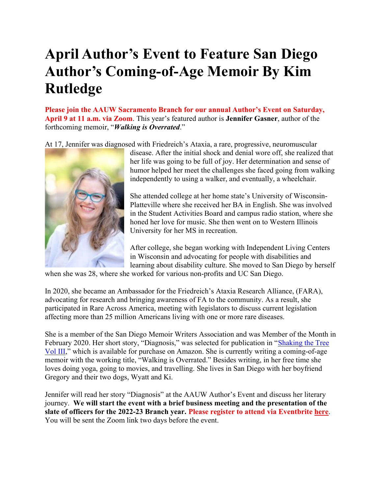### April Author's Event to Feature San Diego Author's Coming-of-Age Memoir By Kim Rutledge

Please join the AAUW Sacramento Branch for our annual Author's Event on Saturday, April 9 at 11 a.m. via Zoom. This year's featured author is Jennifer Gasner, author of the forthcoming memoir, "Walking is Overrated."

At 17, Jennifer was diagnosed with Friedreich's Ataxia, a rare, progressive, neuromuscular



disease. After the initial shock and denial wore off, she realized that her life was going to be full of joy. Her determination and sense of humor helped her meet the challenges she faced going from walking independently to using a walker, and eventually, a wheelchair.

She attended college at her home state's University of Wisconsin-Platteville where she received her BA in English. She was involved in the Student Activities Board and campus radio station, where she honed her love for music. She then went on to Western Illinois University for her MS in recreation.

After college, she began working with Independent Living Centers in Wisconsin and advocating for people with disabilities and learning about disability culture. She moved to San Diego by herself

when she was 28, where she worked for various non-profits and UC San Diego.

In 2020, she became an Ambassador for the Friedreich's Ataxia Research Alliance, (FARA), advocating for research and bringing awareness of FA to the community. As a result, she participated in Rare Across America, meeting with legislators to discuss current legislation affecting more than 25 million Americans living with one or more rare diseases.

She is a member of the San Diego Memoir Writers Association and was Member of the Month in February 2020. Her short story, "Diagnosis," was selected for publication in "Shaking the Tree Vol III," which is available for purchase on Amazon. She is currently writing a coming-of-age memoir with the working title, "Walking is Overrated." Besides writing, in her free time she loves doing yoga, going to movies, and travelling. She lives in San Diego with her boyfriend Gregory and their two dogs, Wyatt and Ki.

Jennifer will read her story "Diagnosis" at the AAUW Author's Event and discuss her literary journey. We will start the event with a brief business meeting and the presentation of the slate of officers for the 2022-23 Branch year. Please register to attend via Eventbrite here. You will be sent the Zoom link two days before the event.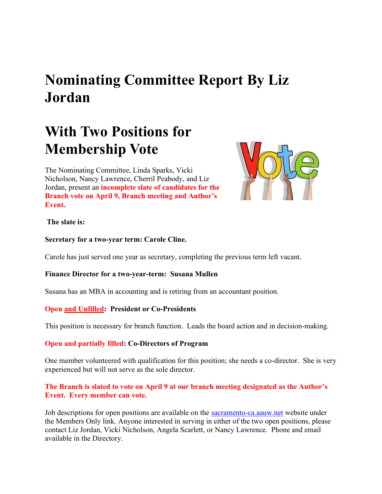### Nominating Committee Report By Liz Jordan

### With Two Positions for Membership Vote

The Nominating Committee, Linda Sparks, Vicki Nicholson, Nancy Lawrence, Cherril Peabody, and Liz Jordan, present an incomplete slate of candidates for the Branch vote on April 9, Branch meeting and Author's Event.



#### The slate is:

Secretary for a two-year term: Carole Cline.

Carole has just served one year as secretary, completing the previous term left vacant.

#### Finance Director for a two-year-term: Susana Mullen

Susana has an MBA in accounting and is retiring from an accountant position.

#### Open and Unfilled: President or Co-Presidents

This position is necessary for branch function. Leads the board action and in decision-making.

#### Open and partially filled: Co-Directors of Program

One member volunteered with qualification for this position; she needs a co-director. She is very experienced but will not serve as the sole director.

### The Branch is slated to vote on April 9 at our branch meeting designated as the Author's Event. Every member can vote.

Job descriptions for open positions are available on the sacramento-ca.aauw.net website under the Members Only link. Anyone interested in serving in either of the two open positions, please contact Liz Jordan, Vicki Nicholson, Angela Scarlett, or Nancy Lawrence. Phone and email available in the Directory.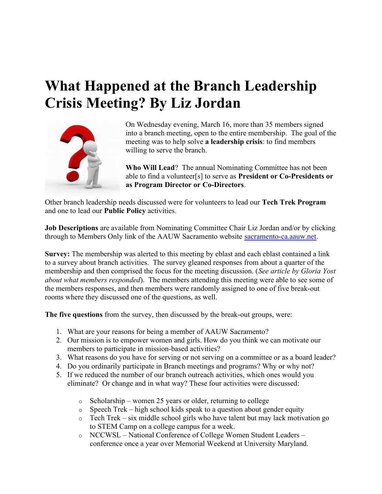### What Happened at the Branch Leadership Crisis Meeting? By Liz Jordan



On Wednesday evening, March 16, more than 35 members signed into a branch meeting, open to the entire membership. The goal of the meeting was to help solve a leadership crisis: to find members willing to serve the branch.

Who Will Lead? The annual Nominating Committee has not been able to find a volunteer[s] to serve as President or Co-Presidents or as Program Director or Co-Directors.

Other branch leadership needs discussed were for volunteers to lead our Tech Trek Program and one to lead our Public Policy activities.

Job Descriptions are available from Nominating Committee Chair Liz Jordan and/or by clicking through to Members Only link of the AAUW Sacramento website **sacramento-ca.aauw.net**.

Survey: The membership was alerted to this meeting by eblast and each eblast contained a link to a survey about branch activities. The survey gleaned responses from about a quarter of the membership and then comprised the focus for the meeting discussion. (See article by Gloria Yost about what members responded). The members attending this meeting were able to see some of the members responses, and then members were randomly assigned to one of five break-out rooms where they discussed one of the questions, as well.

The five questions from the survey, then discussed by the break-out groups, were:

- 1. What are your reasons for being a member of AAUW Sacramento?
- 2. Our mission is to empower women and girls. How do you think we can motivate our members to participate in mission-based activities?
- 3. What reasons do you have for serving or not serving on a committee or as a board leader?
- 4. Do you ordinarily participate in Branch meetings and programs? Why or why not?
- 5. If we reduced the number of our branch outreach activities, which ones would you eliminate? Or change and in what way? These four activities were discussed:
	- $\circ$  Scholarship women 25 years or older, returning to college
	- $\circ$  Speech Trek high school kids speak to a question about gender equity
	- o Tech Trek six middle school girls who have talent but may lack motivation go to STEM Camp on a college campus for a week.
	- o NCCWSL National Conference of College Women Student Leaders conference once a year over Memorial Weekend at University Maryland.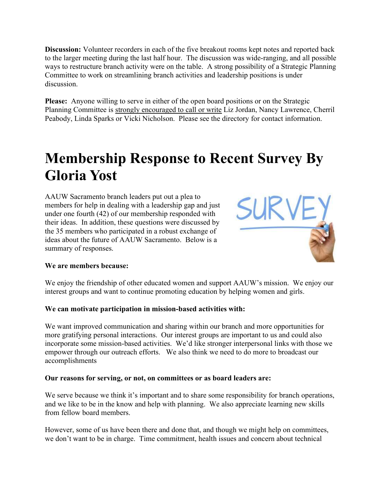Discussion: Volunteer recorders in each of the five breakout rooms kept notes and reported back to the larger meeting during the last half hour. The discussion was wide-ranging, and all possible ways to restructure branch activity were on the table. A strong possibility of a Strategic Planning Committee to work on streamlining branch activities and leadership positions is under discussion.

Please: Anyone willing to serve in either of the open board positions or on the Strategic Planning Committee is strongly encouraged to call or write Liz Jordan, Nancy Lawrence, Cherril Peabody, Linda Sparks or Vicki Nicholson. Please see the directory for contact information.

### Membership Response to Recent Survey By Gloria Yost

AAUW Sacramento branch leaders put out a plea to members for help in dealing with a leadership gap and just under one fourth (42) of our membership responded with their ideas. In addition, these questions were discussed by the 35 members who participated in a robust exchange of ideas about the future of AAUW Sacramento. Below is a summary of responses.



### We are members because:

We enjoy the friendship of other educated women and support AAUW's mission. We enjoy our interest groups and want to continue promoting education by helping women and girls.

#### We can motivate participation in mission-based activities with:

We want improved communication and sharing within our branch and more opportunities for more gratifying personal interactions. Our interest groups are important to us and could also incorporate some mission-based activities. We'd like stronger interpersonal links with those we empower through our outreach efforts. We also think we need to do more to broadcast our accomplishments

#### Our reasons for serving, or not, on committees or as board leaders are:

We serve because we think it's important and to share some responsibility for branch operations, and we like to be in the know and help with planning. We also appreciate learning new skills from fellow board members.

However, some of us have been there and done that, and though we might help on committees, we don't want to be in charge. Time commitment, health issues and concern about technical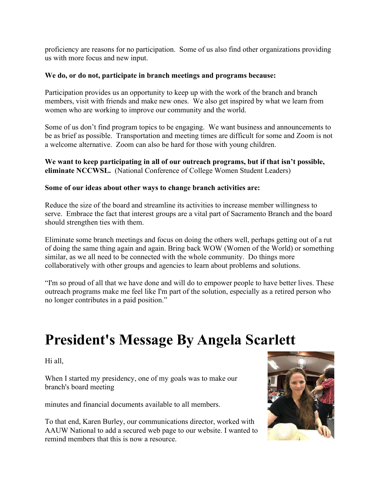proficiency are reasons for no participation. Some of us also find other organizations providing us with more focus and new input.

#### We do, or do not, participate in branch meetings and programs because:

Participation provides us an opportunity to keep up with the work of the branch and branch members, visit with friends and make new ones. We also get inspired by what we learn from women who are working to improve our community and the world.

Some of us don't find program topics to be engaging. We want business and announcements to be as brief as possible. Transportation and meeting times are difficult for some and Zoom is not a welcome alternative. Zoom can also be hard for those with young children.

We want to keep participating in all of our outreach programs, but if that isn't possible, eliminate NCCWSL. (National Conference of College Women Student Leaders)

#### Some of our ideas about other ways to change branch activities are:

Reduce the size of the board and streamline its activities to increase member willingness to serve. Embrace the fact that interest groups are a vital part of Sacramento Branch and the board should strengthen ties with them.

Eliminate some branch meetings and focus on doing the others well, perhaps getting out of a rut of doing the same thing again and again. Bring back WOW (Women of the World) or something similar, as we all need to be connected with the whole community. Do things more collaboratively with other groups and agencies to learn about problems and solutions.

"I'm so proud of all that we have done and will do to empower people to have better lives. These outreach programs make me feel like I'm part of the solution, especially as a retired person who no longer contributes in a paid position."

### President's Message By Angela Scarlett

Hi all,

When I started my presidency, one of my goals was to make our branch's board meeting

minutes and financial documents available to all members.

To that end, Karen Burley, our communications director, worked with AAUW National to add a secured web page to our website. I wanted to remind members that this is now a resource.

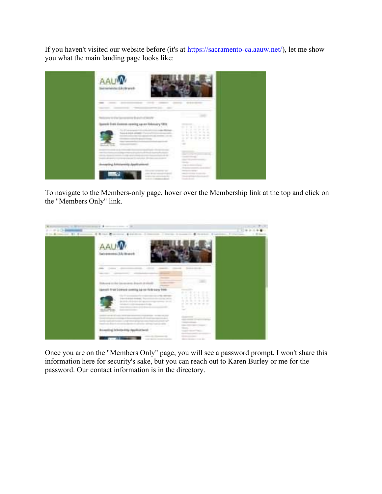If you haven't visited our website before (it's at https://sacramento-ca.aauw.net/), let me show you what the main landing page looks like:



To navigate to the Members-only page, hover over the Membership link at the top and click on the "Members Only" link.



Once you are on the "Members Only" page, you will see a password prompt. I won't share this information here for security's sake, but you can reach out to Karen Burley or me for the password. Our contact information is in the directory.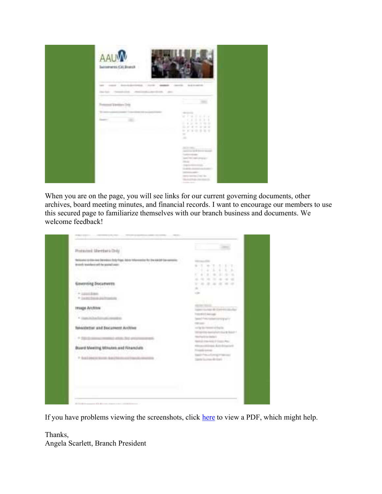

When you are on the page, you will see links for our current governing documents, other archives, board meeting minutes, and financial records. I want to encourage our members to use this secured page to familiarize themselves with our branch business and documents. We welcome feedback!

| Designated Advistations Educational Analysis Aged, Selecte Indian meetings for three statistics Equivarianties: |                                                        |
|-----------------------------------------------------------------------------------------------------------------|--------------------------------------------------------|
| the line of residence and the posted lange that a state of the control to the Control of the                    | The Second Products<br><b>Service Control</b>          |
| <b>THE REAL PROPERTY</b>                                                                                        | $-1.4.4.4.4.4.$                                        |
|                                                                                                                 | 4234 100 441 461 462<br>町                              |
|                                                                                                                 | ----------                                             |
| Savereing Documents                                                                                             | ------<br><b>SILLER</b>                                |
| Holl Menowe                                                                                                     | <b>WARRANTS DESCRIPTION</b>                            |
| F P. LEWIS CO., LANSING MICH.<br>A care him pulsar                                                              | <b>CORP.</b>                                           |
|                                                                                                                 | <b>COLLE</b>                                           |
| <b>TRADA ACCENT</b>                                                                                             | the form in the case                                   |
| 1047749910TL                                                                                                    | The state is a company                                 |
| 1. At Chunchel And Law Assessment Council                                                                       | were the fact that the transfer and the                |
|                                                                                                                 | <b>State Line and A</b>                                |
| <b>Newsterner and Document Archive</b>                                                                          | coving the Common Ad Equitor                           |
|                                                                                                                 | William Republication and Manufacturer                 |
| A 500 St. Corp., The Mid-19 St. Corp., Ltd.                                                                     | <b>Substration</b><br>Market Children and Children May |
|                                                                                                                 | Himan-African Automotive                               |
| Buard Meeting Strucks and Financials                                                                            | <b>Count Links</b>                                     |
| strategi i film na pintatione                                                                                   | Conseil of the cold company of the con-                |
| 1 P. Bus Lineare to con Auto Montgometri                                                                        | There is one dealers in a                              |
|                                                                                                                 |                                                        |
|                                                                                                                 |                                                        |
|                                                                                                                 |                                                        |
|                                                                                                                 |                                                        |

If you have problems viewing the screenshots, click here to view a PDF, which might help.

Thanks, Angela Scarlett, Branch President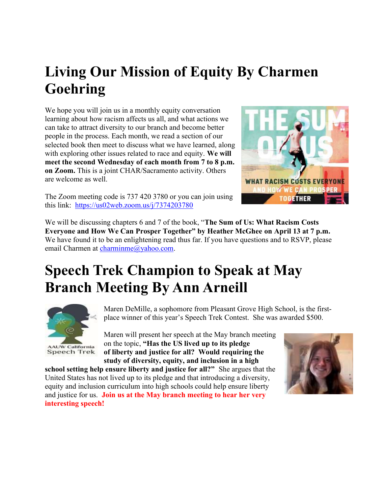# Living Our Mission of Equity By Charmen Goehring

We hope you will join us in a monthly equity conversation learning about how racism affects us all, and what actions we can take to attract diversity to our branch and become better people in the process. Each month, we read a section of our selected book then meet to discuss what we have learned, along with exploring other issues related to race and equity. We will meet the second Wednesday of each month from 7 to 8 p.m. on Zoom. This is a joint CHAR/Sacramento activity. Others are welcome as well.



The Zoom meeting code is 737 420 3780 or you can join using this link: https://us02web.zoom.us/j/7374203780

We will be discussing chapters 6 and 7 of the book, "The Sum of Us: What Racism Costs Everyone and How We Can Prosper Together" by Heather McGhee on April 13 at 7 p.m. We have found it to be an enlightening read thus far. If you have questions and to RSVP, please email Charmen at charminme@yahoo.com.

### Speech Trek Champion to Speak at May Branch Meeting By Ann Arneill



*N* California Speech Trek

Maren DeMille, a sophomore from Pleasant Grove High School, is the firstplace winner of this year's Speech Trek Contest. She was awarded \$500.

Maren will present her speech at the May branch meeting on the topic, "Has the US lived up to its pledge of liberty and justice for all? Would requiring the study of diversity, equity, and inclusion in a high

school setting help ensure liberty and justice for all?" She argues that the United States has not lived up to its pledge and that introducing a diversity, equity and inclusion curriculum into high schools could help ensure liberty and justice for us. Join us at the May branch meeting to hear her very interesting speech!

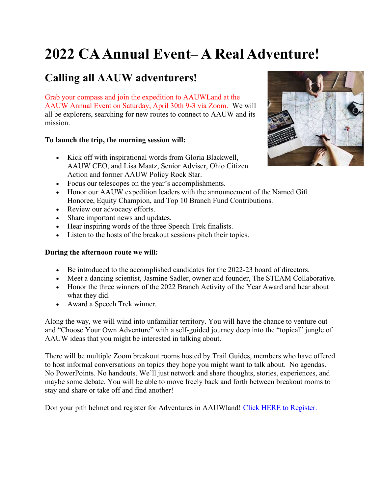# 2022 CA Annual Event– A Real Adventure!

### Calling all AAUW adventurers!

Grab your compass and join the expedition to AAUWLand at the AAUW Annual Event on Saturday, April 30th 9-3 via Zoom. We will all be explorers, searching for new routes to connect to AAUW and its mission.

### To launch the trip, the morning session will:

- Kick off with inspirational words from Gloria Blackwell, AAUW CEO, and Lisa Maatz, Senior Adviser, Ohio Citizen Action and former AAUW Policy Rock Star.
- Focus our telescopes on the year's accomplishments.
- Honor our AAUW expedition leaders with the announcement of the Named Gift Honoree, Equity Champion, and Top 10 Branch Fund Contributions.
- Review our advocacy efforts.
- Share important news and updates.
- Hear inspiring words of the three Speech Trek finalists.
- Listen to the hosts of the breakout sessions pitch their topics.

### During the afternoon route we will:

- Be introduced to the accomplished candidates for the 2022-23 board of directors.
- Meet a dancing scientist, Jasmine Sadler, owner and founder, The STEAM Collaborative.
- Honor the three winners of the 2022 Branch Activity of the Year Award and hear about what they did.
- Award a Speech Trek winner.

Along the way, we will wind into unfamiliar territory. You will have the chance to venture out and "Choose Your Own Adventure" with a self-guided journey deep into the "topical" jungle of AAUW ideas that you might be interested in talking about.

There will be multiple Zoom breakout rooms hosted by Trail Guides, members who have offered to host informal conversations on topics they hope you might want to talk about. No agendas. No PowerPoints. No handouts. We'll just network and share thoughts, stories, experiences, and maybe some debate. You will be able to move freely back and forth between breakout rooms to stay and share or take off and find another!

Don your pith helmet and register for Adventures in AAUWland! Click HERE to Register.

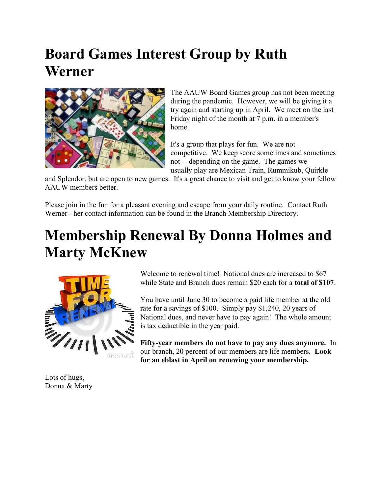# Board Games Interest Group by Ruth Werner



The AAUW Board Games group has not been meeting during the pandemic. However, we will be giving it a try again and starting up in April. We meet on the last Friday night of the month at 7 p.m. in a member's home.

It's a group that plays for fun. We are not competitive. We keep score sometimes and sometimes not -- depending on the game. The games we usually play are Mexican Train, Rummikub, Quirkle

and Splendor, but are open to new games. It's a great chance to visit and get to know your fellow AAUW members better.

Please join in the fun for a pleasant evening and escape from your daily routine. Contact Ruth Werner - her contact information can be found in the Branch Membership Directory.

# Membership Renewal By Donna Holmes and **Marty McKnew**



Welcome to renewal time! National dues are increased to \$67 while State and Branch dues remain \$20 each for a **total of \$107**.

You have until June 30 to become a paid life member at the old rate for a savings of \$100. Simply pay \$1,240, 20 years of National dues, and never have to pay again! The whole amount is tax deductible in the year paid.

Fifty-year members do not have to pay any dues anymore. In our branch, 20 percent of our members are life members. Look for an eblast in April on renewing your membership.

Lots of hugs, Donna & Marty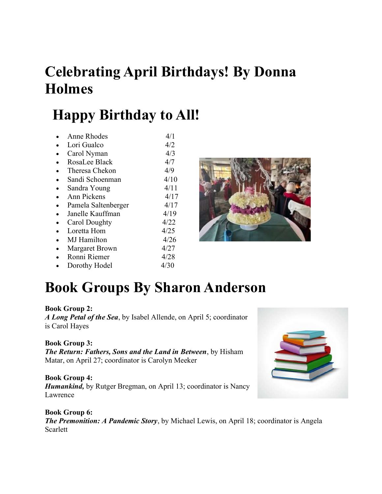# Celebrating April Birthdays! By Donna Holmes

# Happy Birthday to All!

• Anne Rhodes  $4/1$ • Lori Gualco  $4/2$ • Carol Nyman  $4/3$ • RosaLee Black 4/7 • Theresa Chekon 4/9 • Sandi Schoenman  $4/10$ • Sandra Young  $4/11$  $\bullet$  Ann Pickens  $4/17$ • Pamela Saltenberger  $4/17$ • Janelle Kauffman 4/19 • Carol Doughty 4/22 • Loretta Hom 4/25  $\bullet$  MJ Hamilton  $4/26$ • Margaret Brown 4/27 • Ronni Riemer 4/28

• Dorothy Hodel  $4/30$ 



# Book Groups By Sharon Anderson

#### Book Group 2: A Long Petal of the Sea, by Isabel Allende, on April 5; coordinator is Carol Hayes

Book Group 3: The Return: Fathers, Sons and the Land in Between, by Hisham Matar, on April 27; coordinator is Carolyn Meeker

Book Group 4: **Humankind,** by Rutger Bregman, on April 13; coordinator is Nancy Lawrence



Book Group 6: The Premonition: A Pandemic Story, by Michael Lewis, on April 18; coordinator is Angela Scarlett